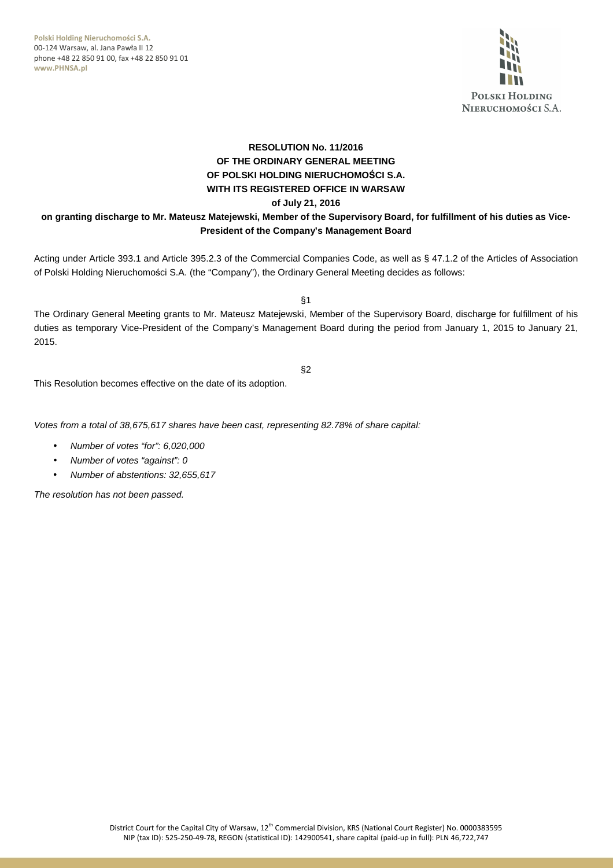**Polski Holding Nieruchomości S.A.**  00-124 Warsaw, al. Jana Pawła II 12 phone +48 22 850 91 00, fax +48 22 850 91 01 **www.PHNSA.pl**



# **RESOLUTION No. 11/2016 OF THE ORDINARY GENERAL MEETING OF POLSKI HOLDING NIERUCHOMOŚCI S.A. WITH ITS REGISTERED OFFICE IN WARSAW**

# **of July 21, 2016**

### **on granting discharge to Mr. Mateusz Matejewski, Member of the Supervisory Board, for fulfillment of his duties as Vice-President of the Company's Management Board**

Acting under Article 393.1 and Article 395.2.3 of the Commercial Companies Code, as well as § 47.1.2 of the Articles of Association of Polski Holding Nieruchomości S.A. (the "Company"), the Ordinary General Meeting decides as follows:

§1

The Ordinary General Meeting grants to Mr. Mateusz Matejewski, Member of the Supervisory Board, discharge for fulfillment of his duties as temporary Vice-President of the Company's Management Board during the period from January 1, 2015 to January 21, 2015.

§2

This Resolution becomes effective on the date of its adoption.

Votes from a total of 38,675,617 shares have been cast, representing 82.78% of share capital:

- Number of votes "for": 6,020,000
- Number of votes "against": 0
- Number of abstentions: 32,655,617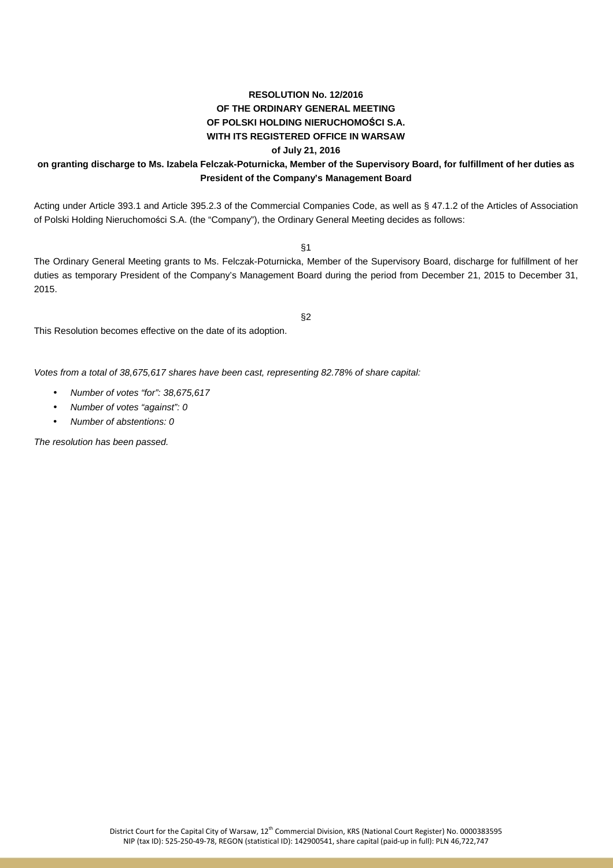# **RESOLUTION No. 12/2016 OF THE ORDINARY GENERAL MEETING OF POLSKI HOLDING NIERUCHOMOŚCI S.A. WITH ITS REGISTERED OFFICE IN WARSAW**

#### **of July 21, 2016**

# **on granting discharge to Ms. Izabela Felczak-Poturnicka, Member of the Supervisory Board, for fulfillment of her duties as President of the Company's Management Board**

Acting under Article 393.1 and Article 395.2.3 of the Commercial Companies Code, as well as § 47.1.2 of the Articles of Association of Polski Holding Nieruchomości S.A. (the "Company"), the Ordinary General Meeting decides as follows:

§1

The Ordinary General Meeting grants to Ms. Felczak-Poturnicka, Member of the Supervisory Board, discharge for fulfillment of her duties as temporary President of the Company's Management Board during the period from December 21, 2015 to December 31, 2015.

§2

This Resolution becomes effective on the date of its adoption.

Votes from a total of 38,675,617 shares have been cast, representing 82.78% of share capital:

- Number of votes "for": 38,675,617
- Number of votes "against": 0
- Number of abstentions: 0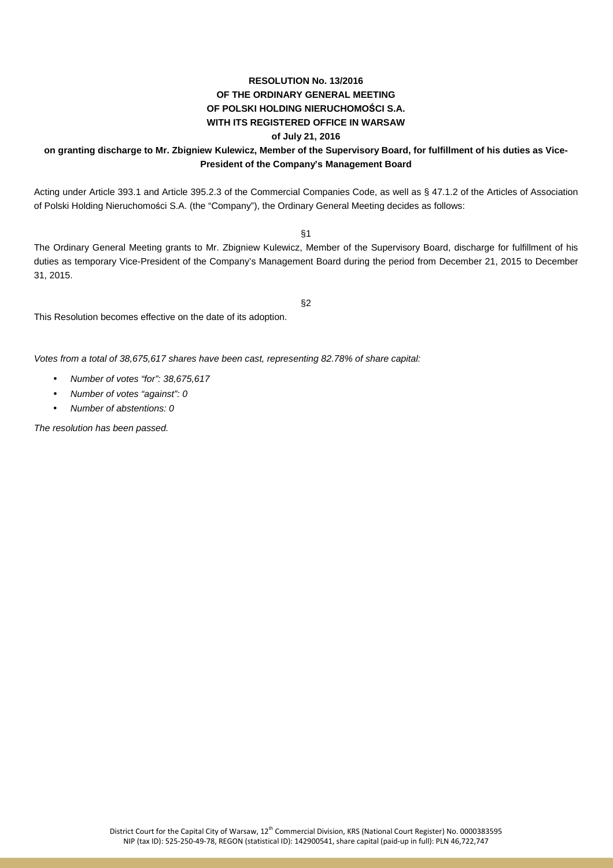# **RESOLUTION No. 13/2016 OF THE ORDINARY GENERAL MEETING OF POLSKI HOLDING NIERUCHOMOŚCI S.A. WITH ITS REGISTERED OFFICE IN WARSAW**

#### **of July 21, 2016**

### **on granting discharge to Mr. Zbigniew Kulewicz, Member of the Supervisory Board, for fulfillment of his duties as Vice-President of the Company's Management Board**

Acting under Article 393.1 and Article 395.2.3 of the Commercial Companies Code, as well as § 47.1.2 of the Articles of Association of Polski Holding Nieruchomości S.A. (the "Company"), the Ordinary General Meeting decides as follows:

§1

The Ordinary General Meeting grants to Mr. Zbigniew Kulewicz, Member of the Supervisory Board, discharge for fulfillment of his duties as temporary Vice-President of the Company's Management Board during the period from December 21, 2015 to December 31, 2015.

§2

This Resolution becomes effective on the date of its adoption.

Votes from a total of 38,675,617 shares have been cast, representing 82.78% of share capital:

- Number of votes "for": 38.675.617
- Number of votes "against": 0
- Number of abstentions: 0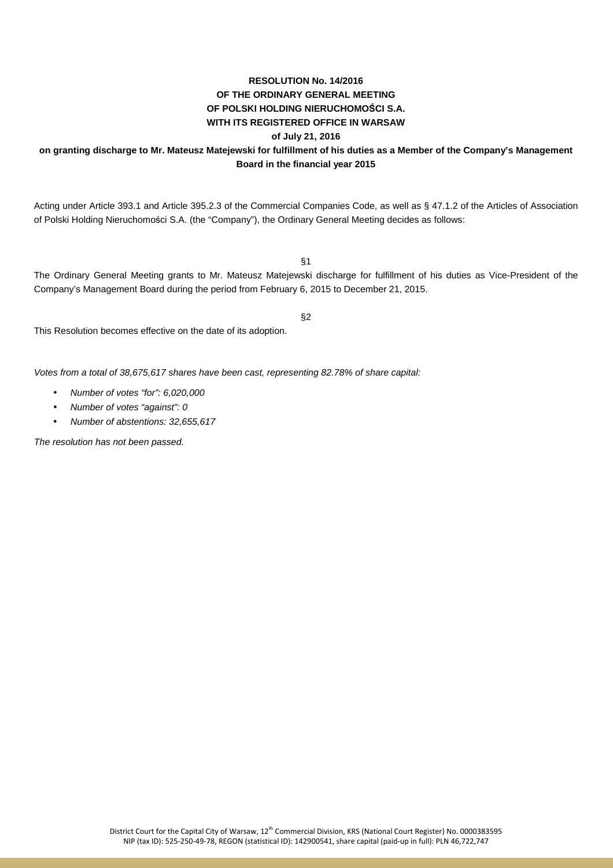# **RESOLUTION No. 14/2016 OF THE ORDINARY GENERAL MEETING OF POLSKI HOLDING NIERUCHOMOŚCI S.A. WITH ITS REGISTERED OFFICE IN WARSAW**

#### **of July 21, 2016**

# **on granting discharge to Mr. Mateusz Matejewski for fulfillment of his duties as a Member of the Company's Management Board in the financial year 2015**

Acting under Article 393.1 and Article 395.2.3 of the Commercial Companies Code, as well as § 47.1.2 of the Articles of Association of Polski Holding Nieruchomości S.A. (the "Company"), the Ordinary General Meeting decides as follows:

§1

The Ordinary General Meeting grants to Mr. Mateusz Matejewski discharge for fulfillment of his duties as Vice-President of the Company's Management Board during the period from February 6, 2015 to December 21, 2015.

§2

This Resolution becomes effective on the date of its adoption.

Votes from a total of 38,675,617 shares have been cast, representing 82.78% of share capital:

- Number of votes "for": 6,020,000
- Number of votes "against": 0
- Number of abstentions: 32,655,617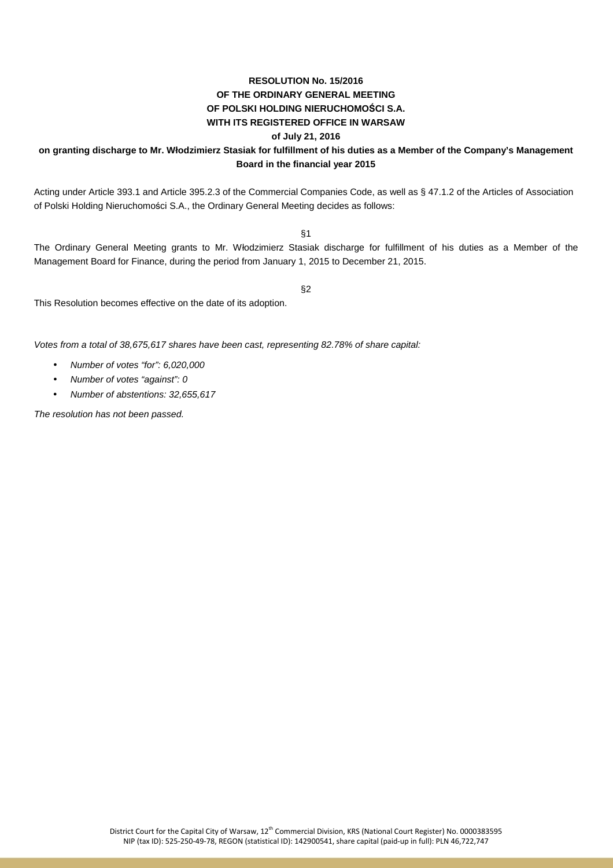## **RESOLUTION No. 15/2016 OF THE ORDINARY GENERAL MEETING OF POLSKI HOLDING NIERUCHOMOŚCI S.A. WITH ITS REGISTERED OFFICE IN WARSAW**

#### **of July 21, 2016**

### **on granting discharge to Mr. Włodzimierz Stasiak for fulfillment of his duties as a Member of the Company's Management Board in the financial year 2015**

Acting under Article 393.1 and Article 395.2.3 of the Commercial Companies Code, as well as § 47.1.2 of the Articles of Association of Polski Holding Nieruchomości S.A., the Ordinary General Meeting decides as follows:

§1

The Ordinary General Meeting grants to Mr. Włodzimierz Stasiak discharge for fulfillment of his duties as a Member of the Management Board for Finance, during the period from January 1, 2015 to December 21, 2015.

§2

This Resolution becomes effective on the date of its adoption.

Votes from a total of 38,675,617 shares have been cast, representing 82.78% of share capital:

- Number of votes "for": 6,020,000
- Number of votes "against": 0
- Number of abstentions: 32,655,617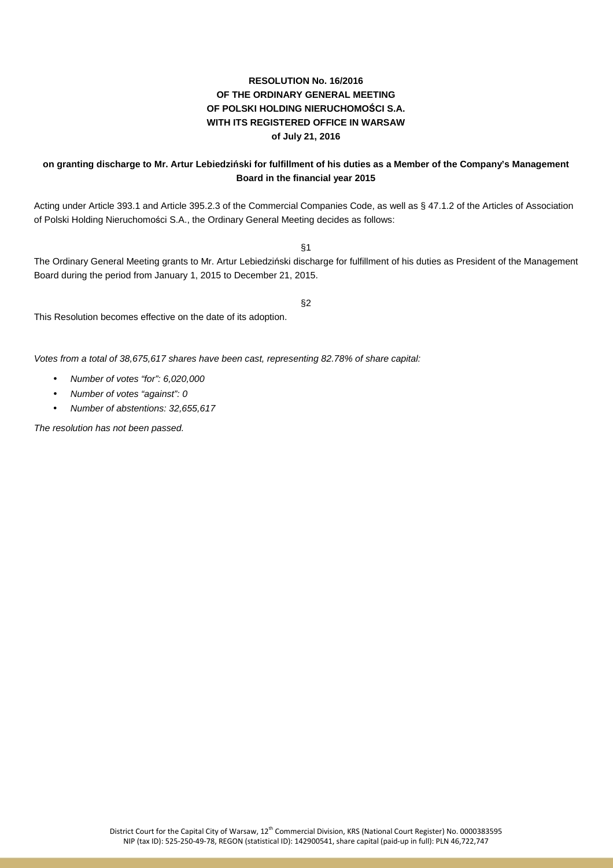# **RESOLUTION No. 16/2016 OF THE ORDINARY GENERAL MEETING OF POLSKI HOLDING NIERUCHOMOŚCI S.A. WITH ITS REGISTERED OFFICE IN WARSAW of July 21, 2016**

## **on granting discharge to Mr. Artur Lebiedziński for fulfillment of his duties as a Member of the Company's Management Board in the financial year 2015**

Acting under Article 393.1 and Article 395.2.3 of the Commercial Companies Code, as well as § 47.1.2 of the Articles of Association of Polski Holding Nieruchomości S.A., the Ordinary General Meeting decides as follows:

§1

The Ordinary General Meeting grants to Mr. Artur Lebiedziński discharge for fulfillment of his duties as President of the Management Board during the period from January 1, 2015 to December 21, 2015.

§2

This Resolution becomes effective on the date of its adoption.

Votes from a total of 38,675,617 shares have been cast, representing 82.78% of share capital:

- Number of votes "for": 6,020,000
- Number of votes "against": 0
- Number of abstentions: 32,655,617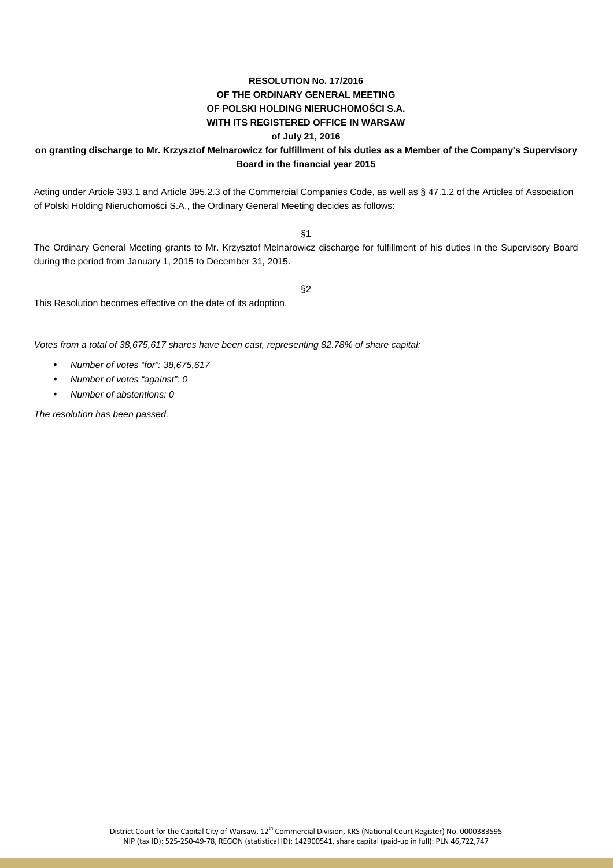# **RESOLUTION No. 17/2016 OF THE ORDINARY GENERAL MEETING OF POLSKI HOLDING NIERUCHOMOŚCI S.A. WITH ITS REGISTERED OFFICE IN WARSAW**

#### **of July 21, 2016**

### **on granting discharge to Mr. Krzysztof Melnarowicz for fulfillment of his duties as a Member of the Company's Supervisory Board in the financial year 2015**

Acting under Article 393.1 and Article 395.2.3 of the Commercial Companies Code, as well as § 47.1.2 of the Articles of Association of Polski Holding Nieruchomości S.A., the Ordinary General Meeting decides as follows:

§1

The Ordinary General Meeting grants to Mr. Krzysztof Melnarowicz discharge for fulfillment of his duties in the Supervisory Board during the period from January 1, 2015 to December 31, 2015.

§2

This Resolution becomes effective on the date of its adoption.

Votes from a total of 38,675,617 shares have been cast, representing 82.78% of share capital:

- Number of votes "for": 38,675,617
- Number of votes "against": 0
- Number of abstentions: 0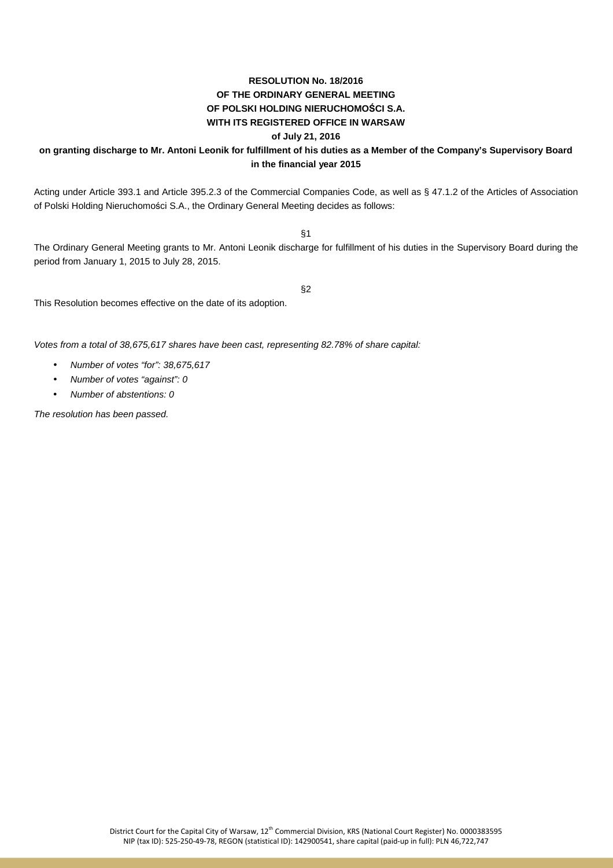# **RESOLUTION No. 18/2016 OF THE ORDINARY GENERAL MEETING OF POLSKI HOLDING NIERUCHOMOŚCI S.A. WITH ITS REGISTERED OFFICE IN WARSAW**

#### **of July 21, 2016**

### **on granting discharge to Mr. Antoni Leonik for fulfillment of his duties as a Member of the Company's Supervisory Board in the financial year 2015**

Acting under Article 393.1 and Article 395.2.3 of the Commercial Companies Code, as well as § 47.1.2 of the Articles of Association of Polski Holding Nieruchomości S.A., the Ordinary General Meeting decides as follows:

§1

The Ordinary General Meeting grants to Mr. Antoni Leonik discharge for fulfillment of his duties in the Supervisory Board during the period from January 1, 2015 to July 28, 2015.

§2

This Resolution becomes effective on the date of its adoption.

Votes from a total of 38,675,617 shares have been cast, representing 82.78% of share capital:

- Number of votes "for": 38,675,617
- Number of votes "against": 0
- Number of abstentions: 0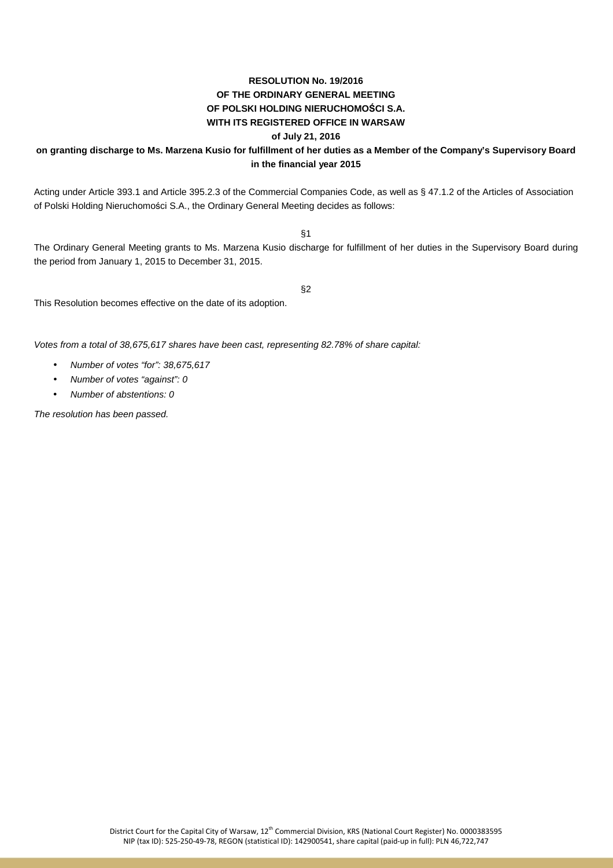# **RESOLUTION No. 19/2016 OF THE ORDINARY GENERAL MEETING OF POLSKI HOLDING NIERUCHOMOŚCI S.A. WITH ITS REGISTERED OFFICE IN WARSAW**

#### **of July 21, 2016**

### **on granting discharge to Ms. Marzena Kusio for fulfillment of her duties as a Member of the Company's Supervisory Board in the financial year 2015**

Acting under Article 393.1 and Article 395.2.3 of the Commercial Companies Code, as well as § 47.1.2 of the Articles of Association of Polski Holding Nieruchomości S.A., the Ordinary General Meeting decides as follows:

§1

The Ordinary General Meeting grants to Ms. Marzena Kusio discharge for fulfillment of her duties in the Supervisory Board during the period from January 1, 2015 to December 31, 2015.

§2

This Resolution becomes effective on the date of its adoption.

Votes from a total of 38,675,617 shares have been cast, representing 82.78% of share capital:

- Number of votes "for": 38,675,617
- Number of votes "against": 0
- Number of abstentions: 0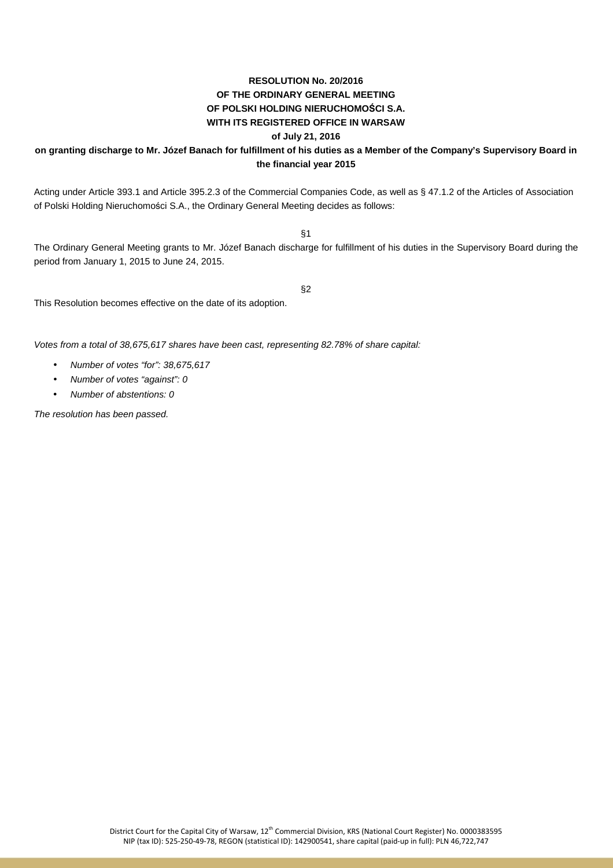# **RESOLUTION No. 20/2016 OF THE ORDINARY GENERAL MEETING OF POLSKI HOLDING NIERUCHOMOŚCI S.A. WITH ITS REGISTERED OFFICE IN WARSAW**

#### **of July 21, 2016**

### **on granting discharge to Mr. Józef Banach for fulfillment of his duties as a Member of the Company's Supervisory Board in the financial year 2015**

Acting under Article 393.1 and Article 395.2.3 of the Commercial Companies Code, as well as § 47.1.2 of the Articles of Association of Polski Holding Nieruchomości S.A., the Ordinary General Meeting decides as follows:

§1

The Ordinary General Meeting grants to Mr. Józef Banach discharge for fulfillment of his duties in the Supervisory Board during the period from January 1, 2015 to June 24, 2015.

§2

This Resolution becomes effective on the date of its adoption.

Votes from a total of 38,675,617 shares have been cast, representing 82.78% of share capital:

- Number of votes "for": 38,675,617
- Number of votes "against": 0
- Number of abstentions: 0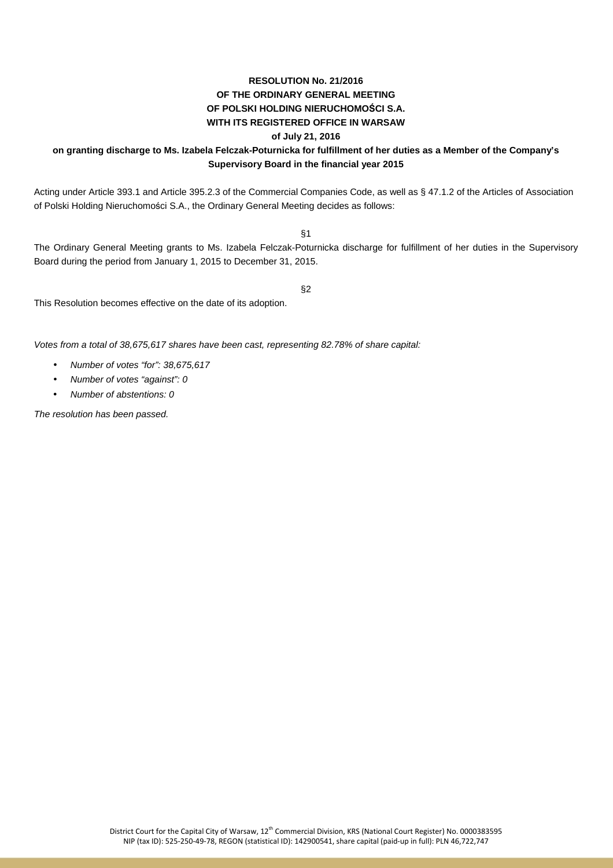# **RESOLUTION No. 21/2016 OF THE ORDINARY GENERAL MEETING OF POLSKI HOLDING NIERUCHOMOŚCI S.A. WITH ITS REGISTERED OFFICE IN WARSAW**

#### **of July 21, 2016**

### **on granting discharge to Ms. Izabela Felczak-Poturnicka for fulfillment of her duties as a Member of the Company's Supervisory Board in the financial year 2015**

Acting under Article 393.1 and Article 395.2.3 of the Commercial Companies Code, as well as § 47.1.2 of the Articles of Association of Polski Holding Nieruchomości S.A., the Ordinary General Meeting decides as follows:

§1

The Ordinary General Meeting grants to Ms. Izabela Felczak-Poturnicka discharge for fulfillment of her duties in the Supervisory Board during the period from January 1, 2015 to December 31, 2015.

§2

This Resolution becomes effective on the date of its adoption.

Votes from a total of 38,675,617 shares have been cast, representing 82.78% of share capital:

- Number of votes "for": 38,675,617
- Number of votes "against": 0
- Number of abstentions: 0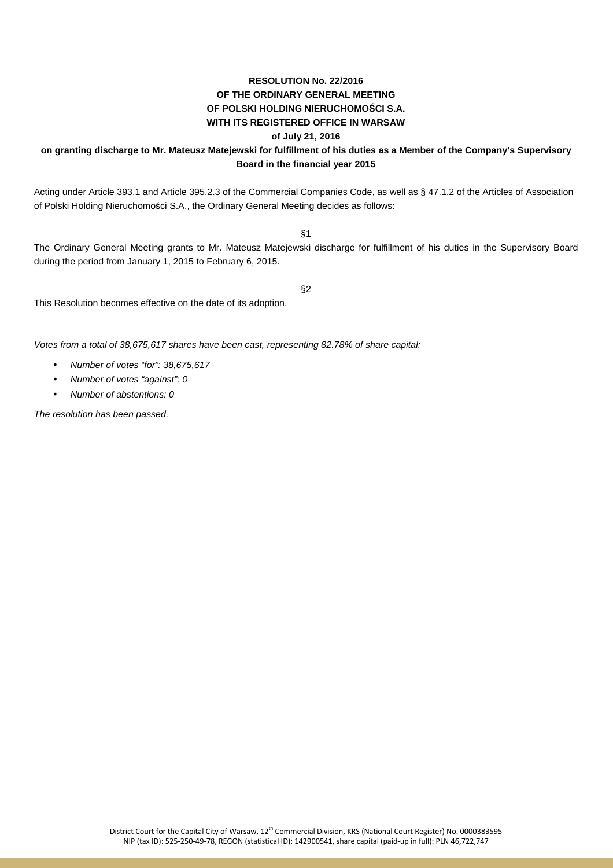## **RESOLUTION No. 22/2016 OF THE ORDINARY GENERAL MEETING OF POLSKI HOLDING NIERUCHOMOŚCI S.A. WITH ITS REGISTERED OFFICE IN WARSAW**

#### **of July 21, 2016**

### **on granting discharge to Mr. Mateusz Matejewski for fulfillment of his duties as a Member of the Company's Supervisory Board in the financial year 2015**

Acting under Article 393.1 and Article 395.2.3 of the Commercial Companies Code, as well as § 47.1.2 of the Articles of Association of Polski Holding Nieruchomości S.A., the Ordinary General Meeting decides as follows:

§1

The Ordinary General Meeting grants to Mr. Mateusz Matejewski discharge for fulfillment of his duties in the Supervisory Board during the period from January 1, 2015 to February 6, 2015.

§2

This Resolution becomes effective on the date of its adoption.

Votes from a total of 38,675,617 shares have been cast, representing 82.78% of share capital:

- Number of votes "for": 38,675,617
- Number of votes "against": 0
- Number of abstentions: 0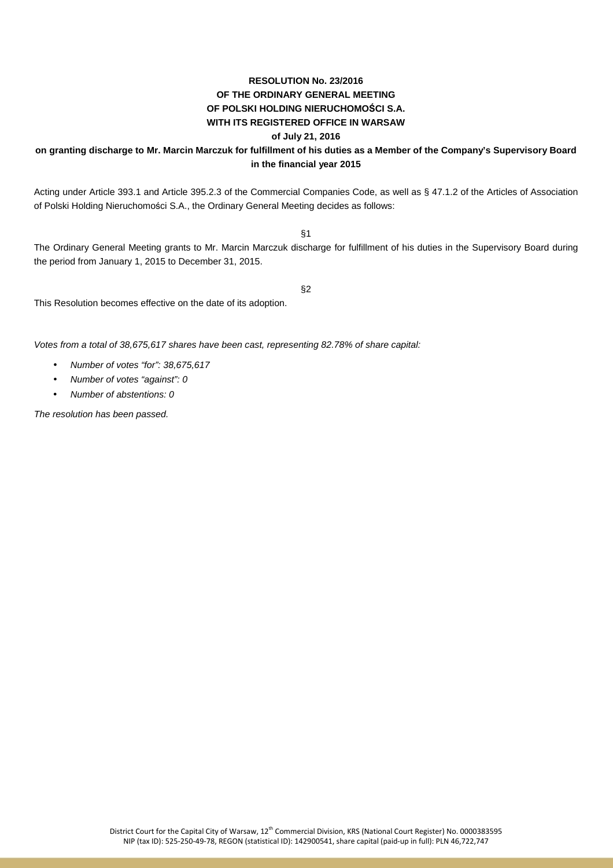# **RESOLUTION No. 23/2016 OF THE ORDINARY GENERAL MEETING OF POLSKI HOLDING NIERUCHOMOŚCI S.A. WITH ITS REGISTERED OFFICE IN WARSAW**

#### **of July 21, 2016**

### **on granting discharge to Mr. Marcin Marczuk for fulfillment of his duties as a Member of the Company's Supervisory Board in the financial year 2015**

Acting under Article 393.1 and Article 395.2.3 of the Commercial Companies Code, as well as § 47.1.2 of the Articles of Association of Polski Holding Nieruchomości S.A., the Ordinary General Meeting decides as follows:

§1

The Ordinary General Meeting grants to Mr. Marcin Marczuk discharge for fulfillment of his duties in the Supervisory Board during the period from January 1, 2015 to December 31, 2015.

§2

This Resolution becomes effective on the date of its adoption.

Votes from a total of 38,675,617 shares have been cast, representing 82.78% of share capital:

- Number of votes "for": 38,675,617
- Number of votes "against": 0
- Number of abstentions: 0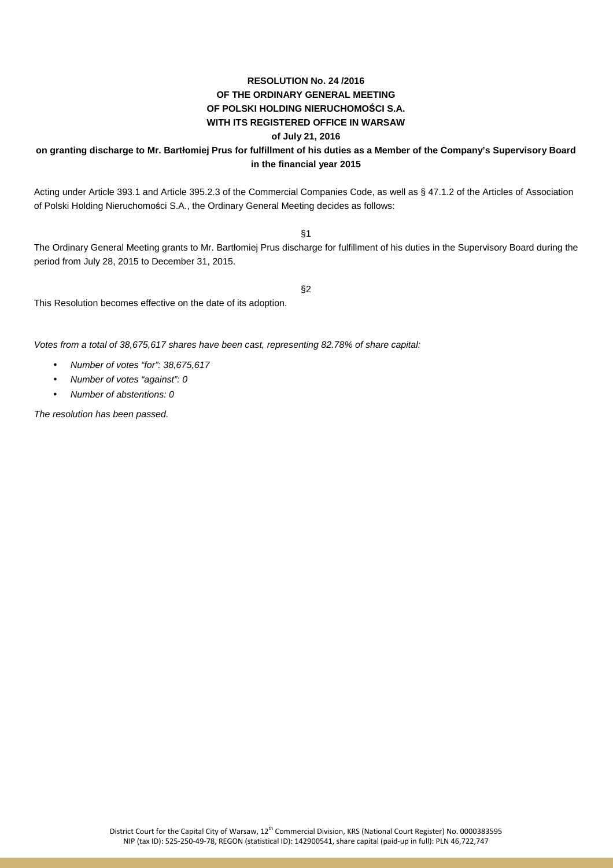# **RESOLUTION No. 24 /2016 OF THE ORDINARY GENERAL MEETING OF POLSKI HOLDING NIERUCHOMOŚCI S.A. WITH ITS REGISTERED OFFICE IN WARSAW**

#### **of July 21, 2016**

### **on granting discharge to Mr. Bartłomiej Prus for fulfillment of his duties as a Member of the Company's Supervisory Board in the financial year 2015**

Acting under Article 393.1 and Article 395.2.3 of the Commercial Companies Code, as well as § 47.1.2 of the Articles of Association of Polski Holding Nieruchomości S.A., the Ordinary General Meeting decides as follows:

§1

The Ordinary General Meeting grants to Mr. Bartłomiej Prus discharge for fulfillment of his duties in the Supervisory Board during the period from July 28, 2015 to December 31, 2015.

§2

This Resolution becomes effective on the date of its adoption.

Votes from a total of 38,675,617 shares have been cast, representing 82.78% of share capital:

- Number of votes "for": 38,675,617
- Number of votes "against": 0
- Number of abstentions: 0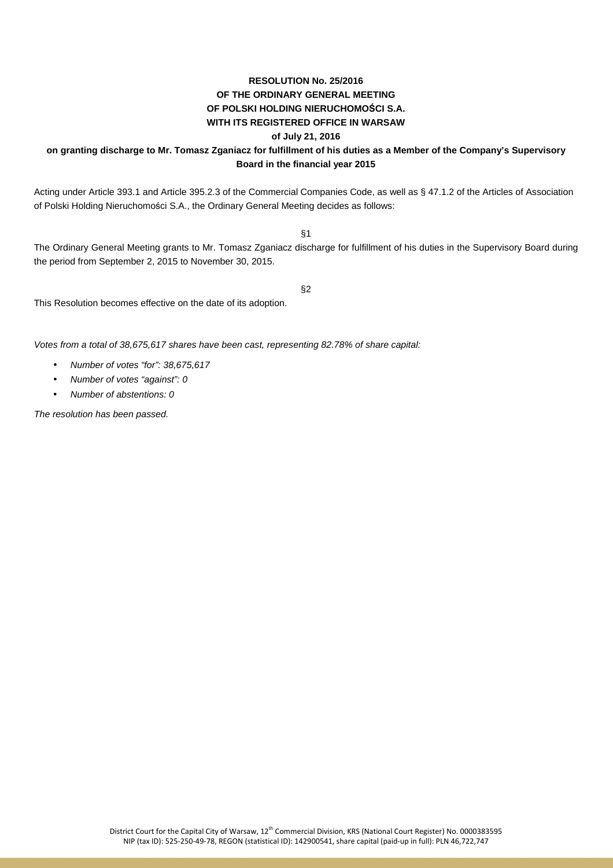# **RESOLUTION No. 25/2016 OF THE ORDINARY GENERAL MEETING OF POLSKI HOLDING NIERUCHOMOŚCI S.A. WITH ITS REGISTERED OFFICE IN WARSAW**

#### **of July 21, 2016**

### **on granting discharge to Mr. Tomasz Zganiacz for fulfillment of his duties as a Member of the Company's Supervisory Board in the financial year 2015**

Acting under Article 393.1 and Article 395.2.3 of the Commercial Companies Code, as well as § 47.1.2 of the Articles of Association of Polski Holding Nieruchomości S.A., the Ordinary General Meeting decides as follows:

§1

The Ordinary General Meeting grants to Mr. Tomasz Zganiacz discharge for fulfillment of his duties in the Supervisory Board during the period from September 2, 2015 to November 30, 2015.

§2

This Resolution becomes effective on the date of its adoption.

Votes from a total of 38,675,617 shares have been cast, representing 82.78% of share capital:

- Number of votes "for": 38,675,617
- Number of votes "against": 0
- Number of abstentions: 0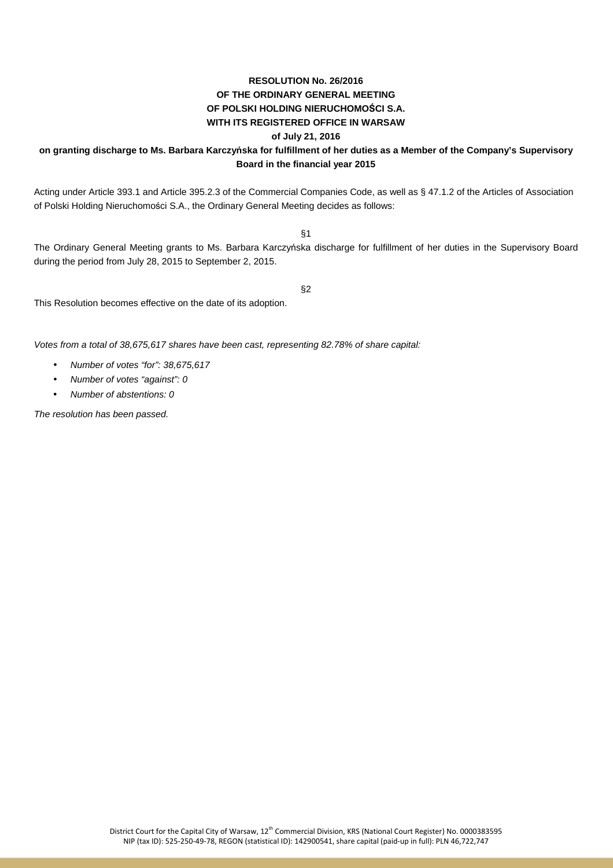# **RESOLUTION No. 26/2016 OF THE ORDINARY GENERAL MEETING OF POLSKI HOLDING NIERUCHOMOŚCI S.A. WITH ITS REGISTERED OFFICE IN WARSAW**

#### **of July 21, 2016**

### **on granting discharge to Ms. Barbara Karczyńska for fulfillment of her duties as a Member of the Company's Supervisory Board in the financial year 2015**

Acting under Article 393.1 and Article 395.2.3 of the Commercial Companies Code, as well as § 47.1.2 of the Articles of Association of Polski Holding Nieruchomości S.A., the Ordinary General Meeting decides as follows:

§1

The Ordinary General Meeting grants to Ms. Barbara Karczyńska discharge for fulfillment of her duties in the Supervisory Board during the period from July 28, 2015 to September 2, 2015.

§2

This Resolution becomes effective on the date of its adoption.

Votes from a total of 38,675,617 shares have been cast, representing 82.78% of share capital:

- Number of votes "for": 38,675,617
- Number of votes "against": 0
- Number of abstentions: 0